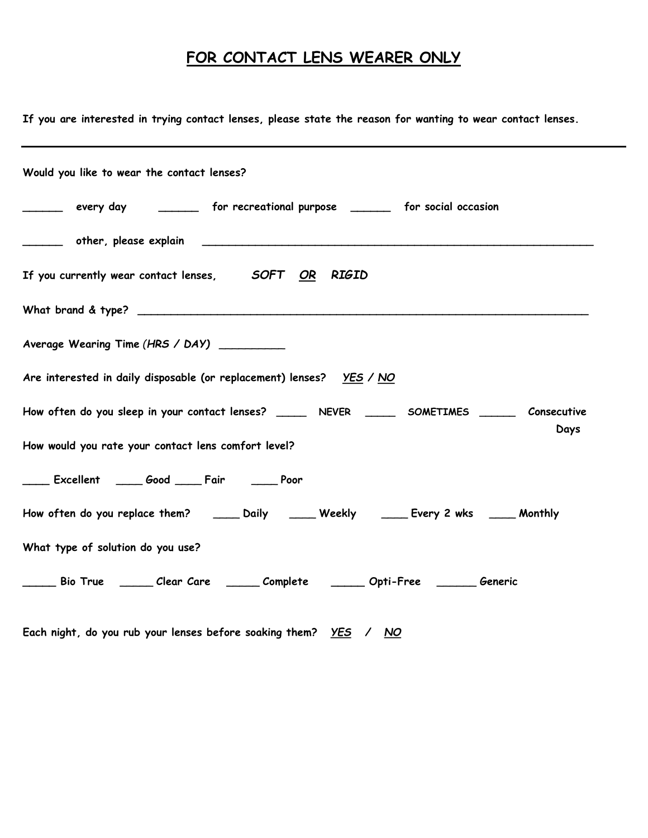## FOR CONTACT LENS WEARER ONLY

| If you are interested in trying contact lenses, please state the reason for wanting to wear contact lenses. |
|-------------------------------------------------------------------------------------------------------------|
| Would you like to wear the contact lenses?                                                                  |
| every day __________ for recreational purpose _________ for social occasion<br>$\overline{\phantom{a}}$     |
|                                                                                                             |
| If you currently wear contact lenses, SOFT OR RIGID                                                         |
|                                                                                                             |
| Average Wearing Time (HRS / DAY)                                                                            |
| Are interested in daily disposable (or replacement) lenses?    YES / NO                                     |
| How often do you sleep in your contact lenses? ________ NEVER _______ SOMETIMES _______ Consecutive<br>Days |
| How would you rate your contact lens comfort level?                                                         |
| Excellent ____ Good ____ Fair _____ Poor                                                                    |
| How often do you replace them? _____ Daily _____ Weekly _____ Every 2 wks ____ Monthly                      |
| What type of solution do you use?                                                                           |
| ______ Bio True  ______ Clear Care  ______ Complete   ______ Opti-Free  _______ Generic                     |
|                                                                                                             |

Each night, do you rub your lenses before soaking them?  $YES / NO$